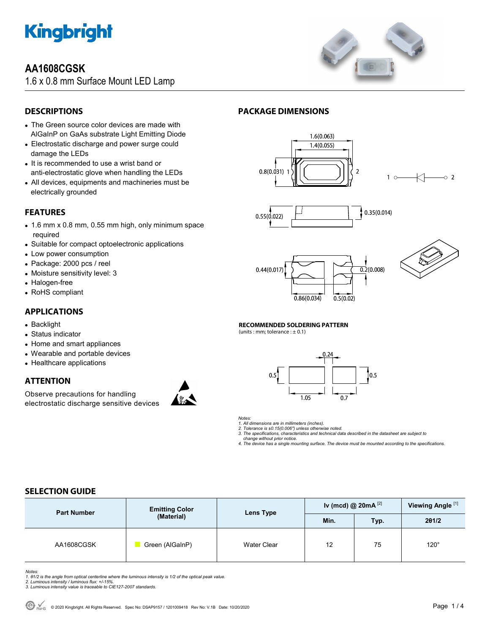

## **AA1608CGSK**

1.6 x 0.8 mm Surface Mount LED Lamp



### **DESCRIPTIONS**

- The Green source color devices are made with AlGaInP on GaAs substrate Light Emitting Diode
- Electrostatic discharge and power surge could damage the LEDs
- It is recommended to use a wrist band or anti-electrostatic glove when handling the LEDs
- All devices, equipments and machineries must be electrically grounded

### **FEATURES**

- 1.6 mm x 0.8 mm, 0.55 mm high, only minimum space required
- Suitable for compact optoelectronic applications
- Low power consumption
- Package: 2000 pcs / reel
- Moisture sensitivity level: 3
- Halogen-free
- RoHS compliant

#### **APPLICATIONS**

- Backlight
- Status indicator
- Home and smart appliances
- Wearable and portable devices
- Healthcare applications

### **ATTENTION**

Observe precautions for handling electrostatic discharge sensitive devices



### **PACKAGE DIMENSIONS**









#### **RECOMMENDED SOLDERING PATTERN**

(units : mm; tolerance :  $\pm$  0.1)



*Notes:* 

*1. All dimensions are in millimeters (inches).* 

*2. Tolerance is ±0.15(0.006") unless otherwise noted. 3. The specifications, characteristics and technical data described in the datasheet are subject to change without prior notice.* 

*4. The device has a single mounting surface. The device must be mounted according to the specifications.* 

### **SELECTION GUIDE**

| <b>Part Number</b> | <b>Emitting Color</b><br>(Material) | Lens Type          | Iv (mcd) @ $20mA$ <sup>[2]</sup> |      | Viewing Angle <sup>[1]</sup> |
|--------------------|-------------------------------------|--------------------|----------------------------------|------|------------------------------|
|                    |                                     |                    | Min.                             | Typ. | 201/2                        |
| AA1608CGSK         | Green (AlGaInP)                     | <b>Water Clear</b> | 12                               | 75   | $120^\circ$                  |

Notes:<br>1. 81/2 is the angle from optical centerline where the luminous intensity is 1/2 of the optical peak value.<br>2. Luminous intensity / luminous flux: +/-15%.<br>3. Luminous intensity value is traceable to CIE127-2007 stan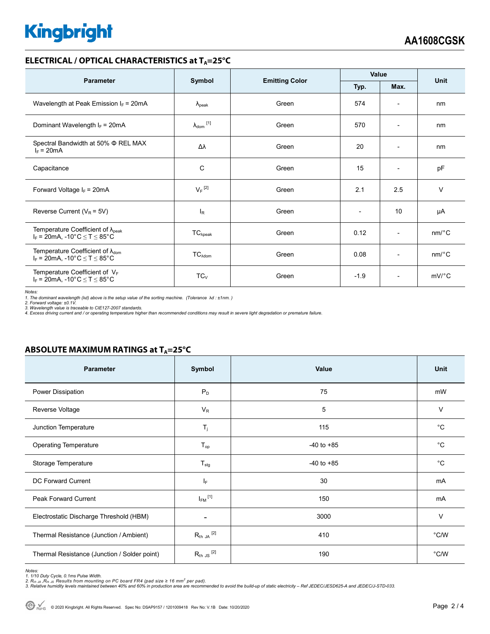# **Kingbright**

#### **ELECTRICAL / OPTICAL CHARACTERISTICS at T<sub>A</sub>=25°C**

| <b>Parameter</b>                                                                             | Symbol                         | <b>Emitting Color</b> | Value        |                          | <b>Unit</b> |
|----------------------------------------------------------------------------------------------|--------------------------------|-----------------------|--------------|--------------------------|-------------|
|                                                                                              |                                |                       | Typ.<br>Max. |                          |             |
| Wavelength at Peak Emission $I_F$ = 20mA                                                     | $\lambda_{\rm peak}$           | Green                 | 574          | $\overline{\phantom{a}}$ | nm          |
| Dominant Wavelength $I_F = 20mA$                                                             | $\lambda_{dom}$ <sup>[1]</sup> | Green                 | 570          | $\overline{\phantom{a}}$ | nm          |
| Spectral Bandwidth at 50% $\Phi$ REL MAX<br>$I_F = 20mA$                                     | Δλ                             | Green                 | 20           | $\overline{\phantom{0}}$ | nm          |
| Capacitance                                                                                  | С                              | Green                 | 15           | $\overline{\phantom{a}}$ | pF          |
| Forward Voltage $I_F = 20mA$                                                                 | $V_F$ <sup>[2]</sup>           | Green                 | 2.1          | 2.5                      | $\vee$      |
| Reverse Current ( $V_R$ = 5V)                                                                | $I_R$                          | Green                 |              | 10                       | μA          |
| Temperature Coefficient of $\lambda_{\text{peak}}$<br>$I_F = 20$ mA, -10°C $\le T \le 85$ °C | $TC_{\lambda peak}$            | Green                 | 0.12         | $\overline{\phantom{a}}$ | nm/°C       |
| Temperature Coefficient of $\lambda_{\text{dom}}$<br>$I_F$ = 20mA, -10°C $\le T \le 85$ °C   | $TC_{\lambda dom}$             | Green                 | 0.08         | $\overline{\phantom{0}}$ | $nm$ /°C    |
| Temperature Coefficient of $V_F$<br>$I_F$ = 20mA, -10°C $\leq T \leq 85$ °C                  | $TC_V$                         | Green                 | $-1.9$       | $\overline{\phantom{a}}$ | $mV$ °C     |

*Notes:* 

1. The dominant wavelength (λd) above is the setup value of the sorting machine. (Tolerance λd : ±1nm. )<br>2. Forward voltage: ±0.1V.<br>3. Wavelength value is traceable to CIE127-2007 standards.<br>4. Excess driving current and

#### **ABSOLUTE MAXIMUM RATINGS at T<sub>A</sub>=25°C**

| Parameter                                    | Symbol                   | Value          | <b>Unit</b>    |
|----------------------------------------------|--------------------------|----------------|----------------|
| Power Dissipation                            | $P_D$                    | 75             | mW             |
| Reverse Voltage                              | $V_R$                    | 5              | $\vee$         |
| Junction Temperature                         | $T_j$                    | 115            | $^{\circ}C$    |
| <b>Operating Temperature</b>                 | $T_{op}$                 | $-40$ to $+85$ | $^{\circ}C$    |
| Storage Temperature                          | $T_{\text{stg}}$         | $-40$ to $+85$ | $^{\circ}C$    |
| DC Forward Current                           | IF.                      | 30             | mA             |
| Peak Forward Current                         | $I_{FM}$ <sup>[1]</sup>  | 150            | mA             |
| Electrostatic Discharge Threshold (HBM)      | $\overline{\phantom{a}}$ | 3000           | V              |
| Thermal Resistance (Junction / Ambient)      | $R_{th}$ ja $^{[2]}$     | 410            | $^{\circ}$ C/W |
| Thermal Resistance (Junction / Solder point) | $R_{th}$ JS $^{[2]}$     | 190            | $^{\circ}$ C/W |

Notes:<br>1. 1/10 Duty Cycle, 0.1ms Pulse Width.<br>2. R<sub>th JA</sub> ,R<sub>th JS</sub> Results from mounting on PC board FR4 (pad size ≥ 16 mm<sup>2</sup> per pad).<br>3. Relative humidity levels maintained between 40% and 60% in production area are re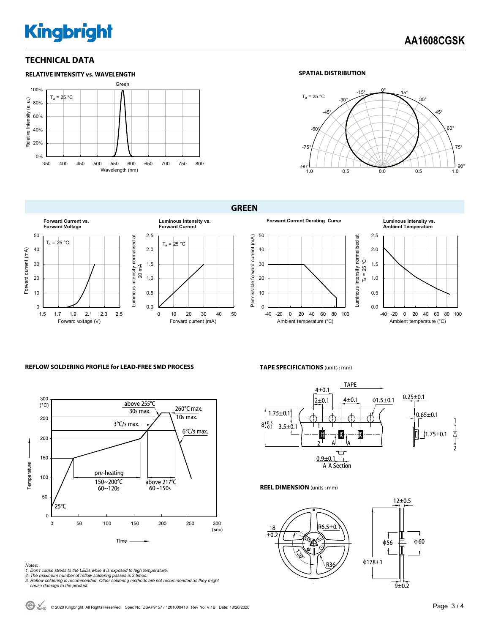# **Kingbright**

#### **TECHNICAL DATA**



#### **SPATIAL DISTRIBUTION**



**GREEN** 



#### **REFLOW SOLDERING PROFILE for LEAD-FREE SMD PROCESS**



- *Notes: 1. Don't cause stress to the LEDs while it is exposed to high temperature. 2. The maximum number of reflow soldering passes is 2 times.*
- 
- *3. Reflow soldering is recommended. Other soldering methods are not recommended as they might cause damage to the product.*

**TAPE SPECIFICATIONS** (units : mm)



**REEL DIMENSION** (units : mm)